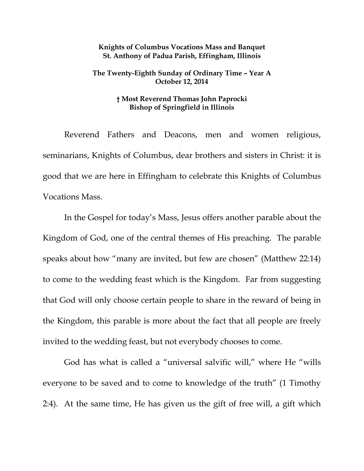## **Knights of Columbus Vocations Mass and Banquet St. Anthony of Padua Parish, Effingham, Illinois**

## **The Twenty-Eighth Sunday of Ordinary Time – Year A October 12, 2014**

## **† Most Reverend Thomas John Paprocki Bishop of Springfield in Illinois**

 Reverend Fathers and Deacons, men and women religious, seminarians, Knights of Columbus, dear brothers and sisters in Christ: it is good that we are here in Effingham to celebrate this Knights of Columbus Vocations Mass.

 In the Gospel for today's Mass, Jesus offers another parable about the Kingdom of God, one of the central themes of His preaching. The parable speaks about how "many are invited, but few are chosen" (Matthew 22:14) to come to the wedding feast which is the Kingdom. Far from suggesting that God will only choose certain people to share in the reward of being in the Kingdom, this parable is more about the fact that all people are freely invited to the wedding feast, but not everybody chooses to come.

 God has what is called a "universal salvific will," where He "wills everyone to be saved and to come to knowledge of the truth" (1 Timothy 2:4). At the same time, He has given us the gift of free will, a gift which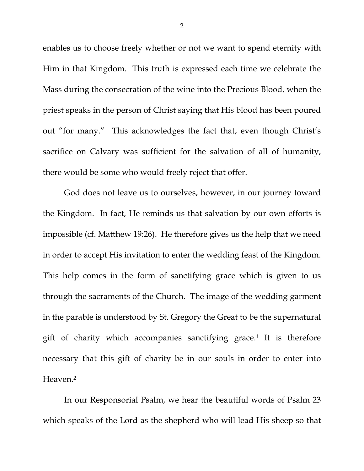enables us to choose freely whether or not we want to spend eternity with Him in that Kingdom. This truth is expressed each time we celebrate the Mass during the consecration of the wine into the Precious Blood, when the priest speaks in the person of Christ saying that His blood has been poured out "for many." This acknowledges the fact that, even though Christ's sacrifice on Calvary was sufficient for the salvation of all of humanity, there would be some who would freely reject that offer.

 God does not leave us to ourselves, however, in our journey toward the Kingdom. In fact, He reminds us that salvation by our own efforts is impossible (cf. Matthew 19:26). He therefore gives us the help that we need in order to accept His invitation to enter the wedding feast of the Kingdom. This help comes in the form of sanctifying grace which is given to us through the sacraments of the Church. The image of the wedding garment in the parable is understood by St. Gregory the Great to be the supernatural gift of charity which accompanies sanctifying grace.<sup>1</sup> It is therefore necessary that this gift of charity be in our souls in order to enter into Heaven.2

 In our Responsorial Psalm, we hear the beautiful words of Psalm 23 which speaks of the Lord as the shepherd who will lead His sheep so that

2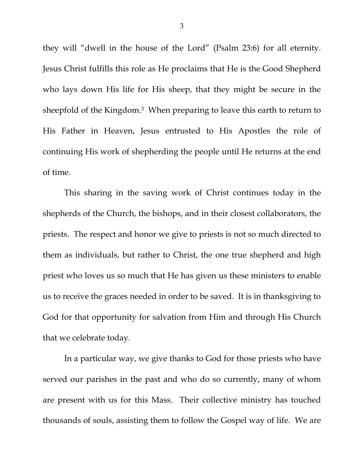they will "dwell in the house of the Lord" (Psalm 23:6) for all eternity. Jesus Christ fulfills this role as He proclaims that He is the Good Shepherd who lays down His life for His sheep, that they might be secure in the sheepfold of the Kingdom.<sup>3</sup> When preparing to leave this earth to return to His Father in Heaven, Jesus entrusted to His Apostles the role of continuing His work of shepherding the people until He returns at the end of time.

 This sharing in the saving work of Christ continues today in the shepherds of the Church, the bishops, and in their closest collaborators, the priests. The respect and honor we give to priests is not so much directed to them as individuals, but rather to Christ, the one true shepherd and high priest who loves us so much that He has given us these ministers to enable us to receive the graces needed in order to be saved. It is in thanksgiving to God for that opportunity for salvation from Him and through His Church that we celebrate today.

 In a particular way, we give thanks to God for those priests who have served our parishes in the past and who do so currently, many of whom are present with us for this Mass. Their collective ministry has touched thousands of souls, assisting them to follow the Gospel way of life. We are

3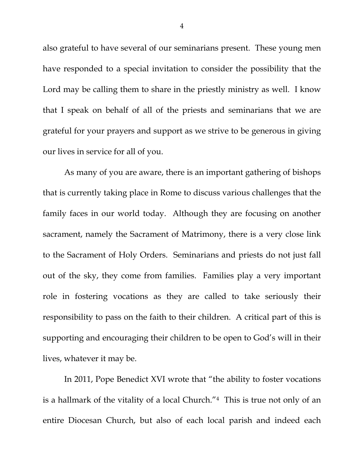also grateful to have several of our seminarians present. These young men have responded to a special invitation to consider the possibility that the Lord may be calling them to share in the priestly ministry as well. I know that I speak on behalf of all of the priests and seminarians that we are grateful for your prayers and support as we strive to be generous in giving our lives in service for all of you.

 As many of you are aware, there is an important gathering of bishops that is currently taking place in Rome to discuss various challenges that the family faces in our world today. Although they are focusing on another sacrament, namely the Sacrament of Matrimony, there is a very close link to the Sacrament of Holy Orders. Seminarians and priests do not just fall out of the sky, they come from families. Families play a very important role in fostering vocations as they are called to take seriously their responsibility to pass on the faith to their children. A critical part of this is supporting and encouraging their children to be open to God's will in their lives, whatever it may be.

 In 2011, Pope Benedict XVI wrote that "the ability to foster vocations is a hallmark of the vitality of a local Church."4 This is true not only of an entire Diocesan Church, but also of each local parish and indeed each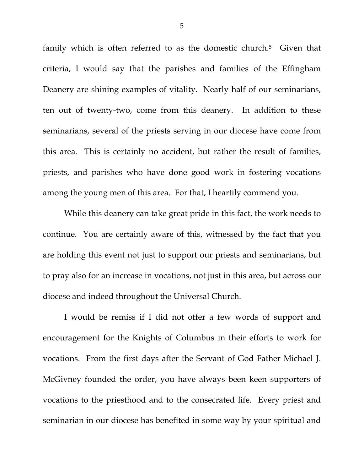family which is often referred to as the domestic church.<sup>5</sup> Given that criteria, I would say that the parishes and families of the Effingham Deanery are shining examples of vitality. Nearly half of our seminarians, ten out of twenty-two, come from this deanery. In addition to these seminarians, several of the priests serving in our diocese have come from this area. This is certainly no accident, but rather the result of families, priests, and parishes who have done good work in fostering vocations among the young men of this area. For that, I heartily commend you.

 While this deanery can take great pride in this fact, the work needs to continue. You are certainly aware of this, witnessed by the fact that you are holding this event not just to support our priests and seminarians, but to pray also for an increase in vocations, not just in this area, but across our diocese and indeed throughout the Universal Church.

I would be remiss if I did not offer a few words of support and encouragement for the Knights of Columbus in their efforts to work for vocations. From the first days after the Servant of God Father Michael J. McGivney founded the order, you have always been keen supporters of vocations to the priesthood and to the consecrated life. Every priest and seminarian in our diocese has benefited in some way by your spiritual and